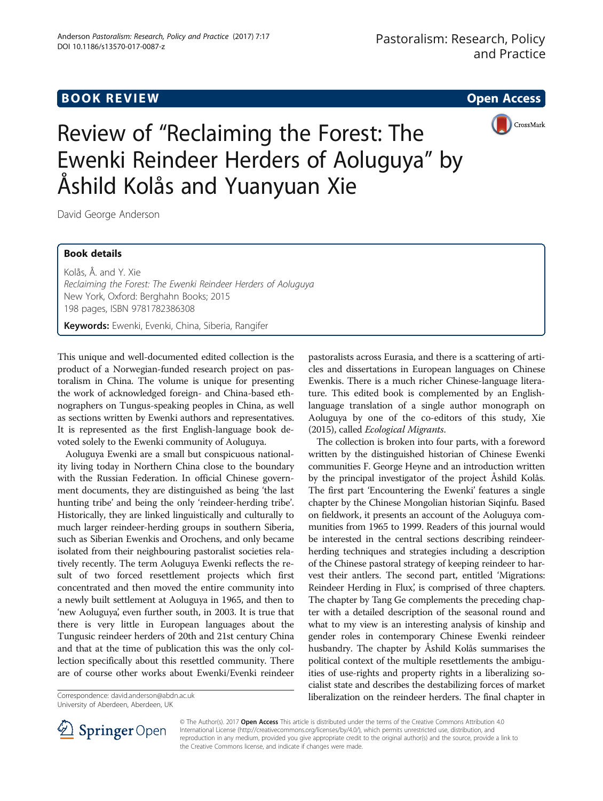# **BOOK REVIEW CONTROL** BOOK REVIEW

CrossMark



David George Anderson

# Book details

Kolås, Å. and Y. Xie Reclaiming the Forest: The Ewenki Reindeer Herders of Aoluguya New York, Oxford: Berghahn Books; 2015 198 pages, ISBN 9781782386308

Keywords: Ewenki, Evenki, China, Siberia, Rangifer

This unique and well-documented edited collection is the product of a Norwegian-funded research project on pastoralism in China. The volume is unique for presenting the work of acknowledged foreign- and China-based ethnographers on Tungus-speaking peoples in China, as well as sections written by Ewenki authors and representatives. It is represented as the first English-language book devoted solely to the Ewenki community of Aoluguya.

Aoluguya Ewenki are a small but conspicuous nationality living today in Northern China close to the boundary with the Russian Federation. In official Chinese government documents, they are distinguished as being 'the last hunting tribe' and being the only 'reindeer-herding tribe'. Historically, they are linked linguistically and culturally to much larger reindeer-herding groups in southern Siberia, such as Siberian Ewenkis and Orochens, and only became isolated from their neighbouring pastoralist societies relatively recently. The term Aoluguya Ewenki reflects the result of two forced resettlement projects which first concentrated and then moved the entire community into a newly built settlement at Aoluguya in 1965, and then to 'new Aoluguya', even further south, in 2003. It is true that there is very little in European languages about the Tungusic reindeer herders of 20th and 21st century China and that at the time of publication this was the only collection specifically about this resettled community. There are of course other works about Ewenki/Evenki reindeer

pastoralists across Eurasia, and there is a scattering of articles and dissertations in European languages on Chinese Ewenkis. There is a much richer Chinese-language literature. This edited book is complemented by an Englishlanguage translation of a single author monograph on Aoluguya by one of the co-editors of this study, Xie ([2015](#page-1-0)), called Ecological Migrants.

The collection is broken into four parts, with a foreword written by the distinguished historian of Chinese Ewenki communities F. George Heyne and an introduction written by the principal investigator of the project Åshild Kolås. The first part 'Encountering the Ewenki' features a single chapter by the Chinese Mongolian historian Siqinfu. Based on fieldwork, it presents an account of the Aoluguya communities from 1965 to 1999. Readers of this journal would be interested in the central sections describing reindeerherding techniques and strategies including a description of the Chinese pastoral strategy of keeping reindeer to harvest their antlers. The second part, entitled 'Migrations: Reindeer Herding in Flux', is comprised of three chapters. The chapter by Tang Ge complements the preceding chapter with a detailed description of the seasonal round and what to my view is an interesting analysis of kinship and gender roles in contemporary Chinese Ewenki reindeer husbandry. The chapter by Åshild Kolås summarises the political context of the multiple resettlements the ambiguities of use-rights and property rights in a liberalizing socialist state and describes the destabilizing forces of market Correspondence: [david.anderson@abdn.ac.uk](mailto:david.anderson@abdn.ac.uk) and the reindeer herders. The final chapter in University of Aberdeen, Aberdeen, UK and the reindeer herders. The final chapter in University of Aberdeen, Aberdeen, UK



© The Author(s). 2017 **Open Access** This article is distributed under the terms of the Creative Commons Attribution 4.0 International License ([http://creativecommons.org/licenses/by/4.0/\)](http://creativecommons.org/licenses/by/4.0/), which permits unrestricted use, distribution, and reproduction in any medium, provided you give appropriate credit to the original author(s) and the source, provide a link to the Creative Commons license, and indicate if changes were made.